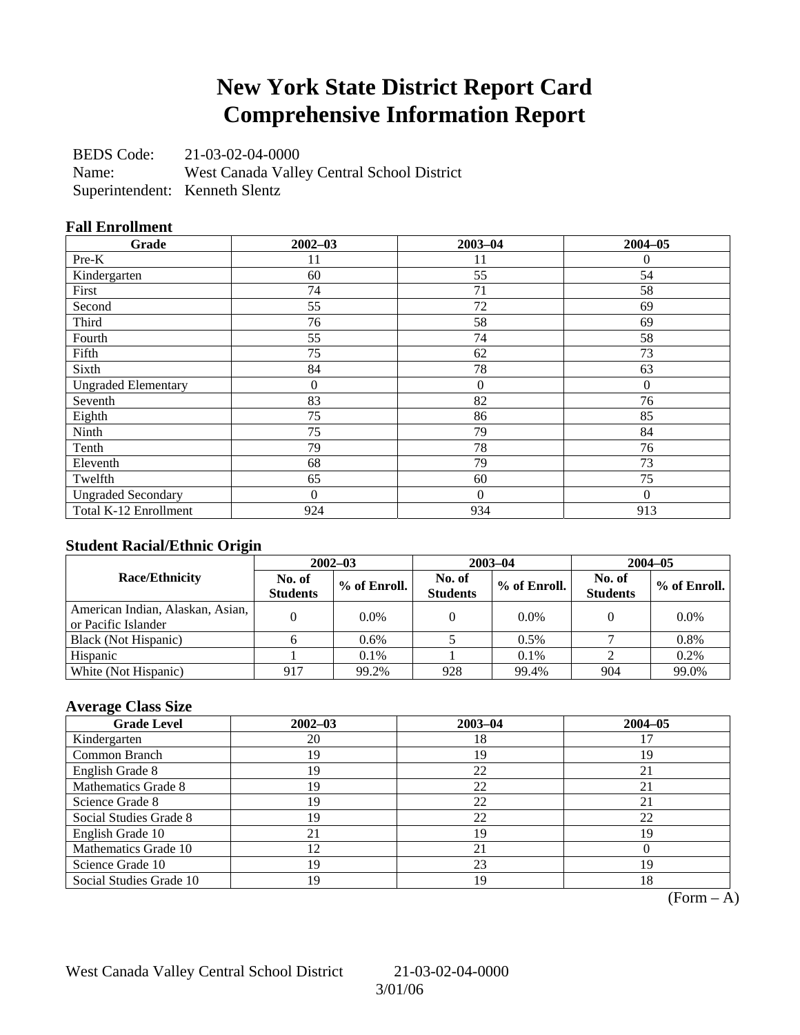## **New York State District Report Card Comprehensive Information Report**

BEDS Code: 21-03-02-04-0000 Name: West Canada Valley Central School District Superintendent: Kenneth Slentz

## **Fall Enrollment**

| Grade                      | $2002 - 03$ | $2003 - 04$  | $2004 - 05$  |
|----------------------------|-------------|--------------|--------------|
| Pre-K                      | 11          | 11           | $\mathbf{0}$ |
| Kindergarten               | 60          | 55           | 54           |
| First                      | 74          | 71           | 58           |
| Second                     | 55          | 72           | 69           |
| Third                      | 76          | 58           | 69           |
| Fourth                     | 55          | 74           | 58           |
| Fifth                      | 75          | 62           | 73           |
| Sixth                      | 84          | 78           | 63           |
| <b>Ungraded Elementary</b> | $\theta$    | $\mathbf{0}$ | $\Omega$     |
| Seventh                    | 83          | 82           | 76           |
| Eighth                     | 75          | 86           | 85           |
| Ninth                      | 75          | 79           | 84           |
| Tenth                      | 79          | 78           | 76           |
| Eleventh                   | 68          | 79           | 73           |
| Twelfth                    | 65          | 60           | 75           |
| <b>Ungraded Secondary</b>  | 0           | $\mathbf{0}$ | $\Omega$     |
| Total K-12 Enrollment      | 924         | 934          | 913          |

## **Student Racial/Ethnic Origin**

|                                                         | $2002 - 03$               |              |                           | $2003 - 04$  | $2004 - 05$               |              |  |
|---------------------------------------------------------|---------------------------|--------------|---------------------------|--------------|---------------------------|--------------|--|
| <b>Race/Ethnicity</b>                                   | No. of<br><b>Students</b> | % of Enroll. | No. of<br><b>Students</b> | % of Enroll. | No. of<br><b>Students</b> | % of Enroll. |  |
| American Indian, Alaskan, Asian,<br>or Pacific Islander |                           | 0.0%         |                           | $0.0\%$      |                           | 0.0%         |  |
| Black (Not Hispanic)                                    |                           | 0.6%         |                           | $0.5\%$      |                           | 0.8%         |  |
| Hispanic                                                |                           | 0.1%         |                           | $0.1\%$      |                           | 0.2%         |  |
| White (Not Hispanic)                                    | 917                       | 99.2%        | 928                       | 99.4%        | 904                       | 99.0%        |  |

## **Average Class Size**

| <b>Grade Level</b>      | $2002 - 03$ | $2003 - 04$ | $2004 - 05$ |
|-------------------------|-------------|-------------|-------------|
| Kindergarten            | 20          | 18          |             |
| Common Branch           | 19          | 19          | 19          |
| English Grade 8         | 19          | 22          |             |
| Mathematics Grade 8     | 19          | 22          | 21          |
| Science Grade 8         | 19          | 22          |             |
| Social Studies Grade 8  | 19          | 22          | 22          |
| English Grade 10        | 21          | 19          | 19          |
| Mathematics Grade 10    | 12          | 21          |             |
| Science Grade 10        | 19          | 23          | 19          |
| Social Studies Grade 10 | 19          | 19          | 18          |

 $(Form - A)$ 

West Canada Valley Central School District 21-03-02-04-0000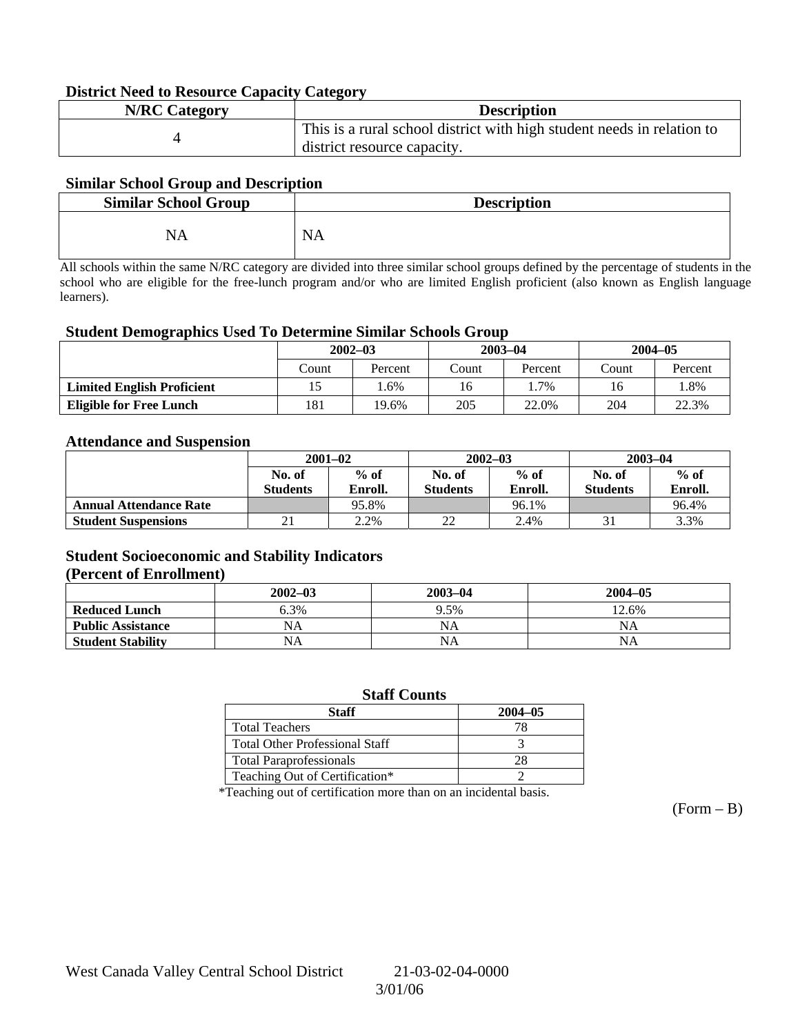### **District Need to Resource Capacity Category**

| <b>N/RC</b> Category | <b>Description</b>                                                     |
|----------------------|------------------------------------------------------------------------|
|                      | This is a rural school district with high student needs in relation to |
|                      | district resource capacity.                                            |

### **Similar School Group and Description**

| <b>Similar School Group</b> | <b>Description</b> |
|-----------------------------|--------------------|
| NA                          | <b>NA</b>          |

All schools within the same N/RC category are divided into three similar school groups defined by the percentage of students in the school who are eligible for the free-lunch program and/or who are limited English proficient (also known as English language learners).

#### **Student Demographics Used To Determine Similar Schools Group**

|                                   | $2002 - 03$<br>Count<br>Percent |     |              | $2003 - 04$ | $2004 - 05$ |         |
|-----------------------------------|---------------------------------|-----|--------------|-------------|-------------|---------|
|                                   |                                 |     | Count        | Percent     | Count       | Percent |
| <b>Limited English Proficient</b> |                                 | .6% | 16           | $.7\%$      | 16          | . 8%    |
| <b>Eligible for Free Lunch</b>    | 181<br>19.6%                    |     | 205<br>22.0% |             | 204         | 22.3%   |

#### **Attendance and Suspension**

|                               | $2001 - 02$      |         |                  | $2002 - 03$ | $2003 - 04$     |         |
|-------------------------------|------------------|---------|------------------|-------------|-----------------|---------|
|                               | $%$ of<br>No. of |         | $%$ of<br>No. of |             | No. of          | $%$ of  |
|                               | <b>Students</b>  | Enroll. | <b>Students</b>  | Enroll.     | <b>Students</b> | Enroll. |
| <b>Annual Attendance Rate</b> |                  | 95.8%   |                  | 96.1%       |                 | 96.4%   |
| <b>Student Suspensions</b>    |                  | 2.2%    | າາ<br>∠∠         | 2.4%        |                 | 3.3%    |

### **Student Socioeconomic and Stability Indicators (Percent of Enrollment)**

|                          | $2002 - 03$ | 2003-04 | $2004 - 05$ |
|--------------------------|-------------|---------|-------------|
| <b>Reduced Lunch</b>     | 6.3%        | 9.5%    | 12.6%       |
| <b>Public Assistance</b> | NA          | NA      | NA          |
| <b>Student Stability</b> | NA          | NA      | NA          |

#### **Staff Counts**

| Staff                                 | $2004 - 05$ |
|---------------------------------------|-------------|
| <b>Total Teachers</b>                 |             |
| <b>Total Other Professional Staff</b> |             |
| <b>Total Paraprofessionals</b>        |             |
| Teaching Out of Certification*        |             |

\*Teaching out of certification more than on an incidental basis.

 $(Form - B)$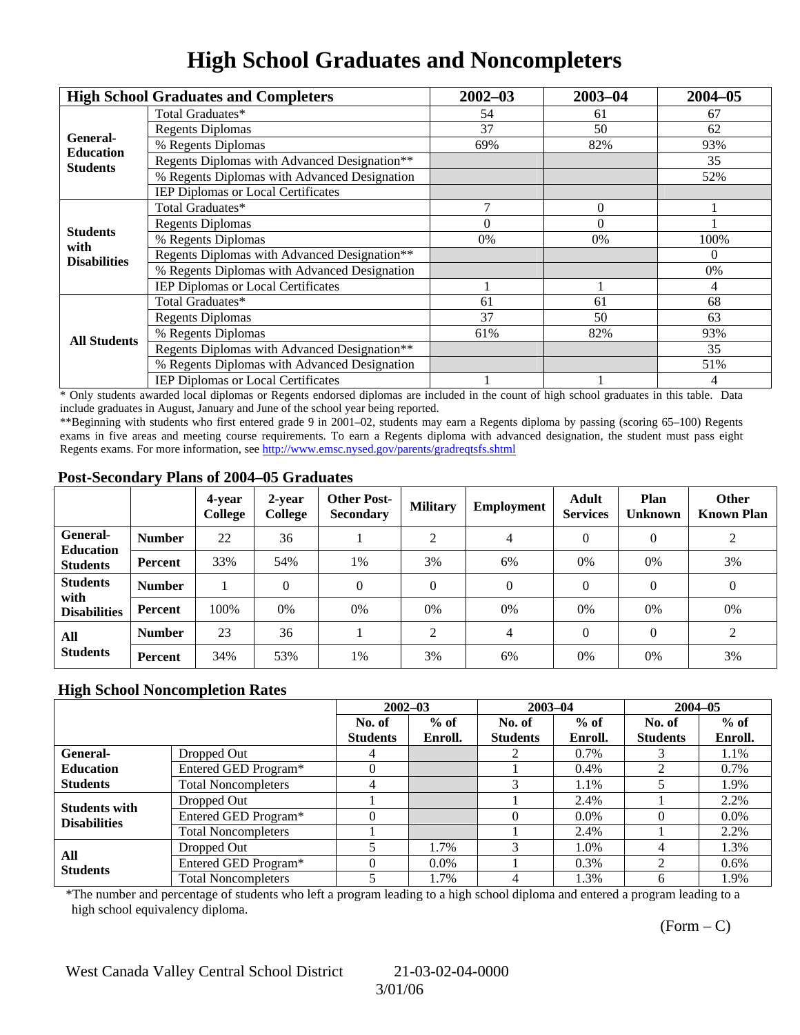# **High School Graduates and Noncompleters**

|                              | <b>High School Graduates and Completers</b>  | $2002 - 03$           | $2003 - 04$ | $2004 - 05$ |
|------------------------------|----------------------------------------------|-----------------------|-------------|-------------|
|                              | Total Graduates*                             | 54                    | 61          | 67          |
|                              | <b>Regents Diplomas</b>                      | 37                    | 50          | 62          |
| General-<br><b>Education</b> | % Regents Diplomas                           | 69%                   | 82%         | 93%         |
| <b>Students</b>              | Regents Diplomas with Advanced Designation** |                       |             | 35          |
|                              | % Regents Diplomas with Advanced Designation |                       |             | 52%         |
|                              | IEP Diplomas or Local Certificates           |                       |             |             |
|                              | Total Graduates*                             |                       | $\Omega$    |             |
| <b>Students</b>              | <b>Regents Diplomas</b>                      | $\Omega$              | $\Omega$    |             |
| with                         | % Regents Diplomas                           | 0%                    | 0%          | 100%        |
| <b>Disabilities</b>          | Regents Diplomas with Advanced Designation** |                       |             | $\theta$    |
|                              | % Regents Diplomas with Advanced Designation |                       |             | 0%          |
|                              | IEP Diplomas or Local Certificates           |                       |             | 4           |
|                              | Total Graduates*                             | 61                    | 61          | 68          |
|                              | <b>Regents Diplomas</b>                      | 37                    | 50          | 63          |
| <b>All Students</b>          | % Regents Diplomas                           | 61%<br>82%<br>35<br>4 | 93%         |             |
|                              | Regents Diplomas with Advanced Designation** |                       |             |             |
|                              | % Regents Diplomas with Advanced Designation |                       |             | 51%         |
|                              | <b>IEP Diplomas or Local Certificates</b>    |                       |             |             |

\* Only students awarded local diplomas or Regents endorsed diplomas are included in the count of high school graduates in this table. Data include graduates in August, January and June of the school year being reported.

\*\*Beginning with students who first entered grade 9 in 2001–02, students may earn a Regents diploma by passing (scoring 65–100) Regents exams in five areas and meeting course requirements. To earn a Regents diploma with advanced designation, the student must pass eight Regents exams. For more information, see http://www.emsc.nysed.gov/parents/gradreqtsfs.shtml

### **Post-Secondary Plans of 2004–05 Graduates**

|                                                |               | 4-year<br>College | 2-year<br>College | <b>Other Post-</b><br><b>Secondary</b> | <b>Military</b> | <b>Employment</b> | <b>Adult</b><br><b>Services</b> | Plan<br><b>Unknown</b> | <b>Other</b><br><b>Known Plan</b> |
|------------------------------------------------|---------------|-------------------|-------------------|----------------------------------------|-----------------|-------------------|---------------------------------|------------------------|-----------------------------------|
| <b>General-</b><br><b>Education</b>            | <b>Number</b> | 22                | 36                |                                        | ↑               | $\overline{4}$    | $\Omega$                        | $\theta$               | 2                                 |
| <b>Students</b>                                | Percent       | 33%               | 54%               | 1%                                     | 3%              | 6%                | $0\%$                           | 0%                     | 3%                                |
| <b>Students</b><br>with<br><b>Disabilities</b> | <b>Number</b> |                   | $\Omega$          | $\Omega$                               | $\Omega$        | $\theta$          | $\Omega$                        | $\Omega$               | $\theta$                          |
|                                                | Percent       | 100%              | 0%                | 0%                                     | 0%              | 0%                | $0\%$                           | 0%                     | 0%                                |
| All<br><b>Students</b>                         | <b>Number</b> | 23                | 36                |                                        | ↑               | $\overline{4}$    | $\Omega$                        | $\Omega$               | 2                                 |
|                                                | Percent       | 34%               | 53%               | 1%                                     | 3%              | 6%                | 0%                              | 0%                     | 3%                                |

## **High School Noncompletion Rates**

|                        |                            | $2002 - 03$<br>$2003 - 04$ |         |                 | $2004 - 05$ |                 |         |
|------------------------|----------------------------|----------------------------|---------|-----------------|-------------|-----------------|---------|
|                        |                            | No. of                     | $%$ of  | No. of          | $%$ of      | No. of          | $%$ of  |
|                        |                            | <b>Students</b>            | Enroll. | <b>Students</b> | Enroll.     | <b>Students</b> | Enroll. |
| General-               | Dropped Out                |                            |         |                 | 0.7%        |                 | 1.1%    |
| <b>Education</b>       | Entered GED Program*       |                            |         |                 | $0.4\%$     |                 | 0.7%    |
| <b>Students</b>        | <b>Total Noncompleters</b> | 4                          |         |                 | 1.1%        |                 | 1.9%    |
| <b>Students with</b>   | Dropped Out                |                            |         |                 | 2.4%        |                 | 2.2%    |
| <b>Disabilities</b>    | Entered GED Program*       |                            |         |                 | $0.0\%$     |                 | $0.0\%$ |
|                        | <b>Total Noncompleters</b> |                            |         |                 | 2.4%        |                 | 2.2%    |
| All<br><b>Students</b> | Dropped Out                |                            | 1.7%    | $\mathcal{R}$   | 1.0%        |                 | 1.3%    |
|                        | Entered GED Program*       |                            | $0.0\%$ |                 | 0.3%        | ◠               | $0.6\%$ |
|                        | <b>Total Noncompleters</b> |                            | 1.7%    |                 | 1.3%        | 6               | 1.9%    |

\*The number and percentage of students who left a program leading to a high school diploma and entered a program leading to a high school equivalency diploma.

 $(Form - C)$ 

West Canada Valley Central School District 21-03-02-04-0000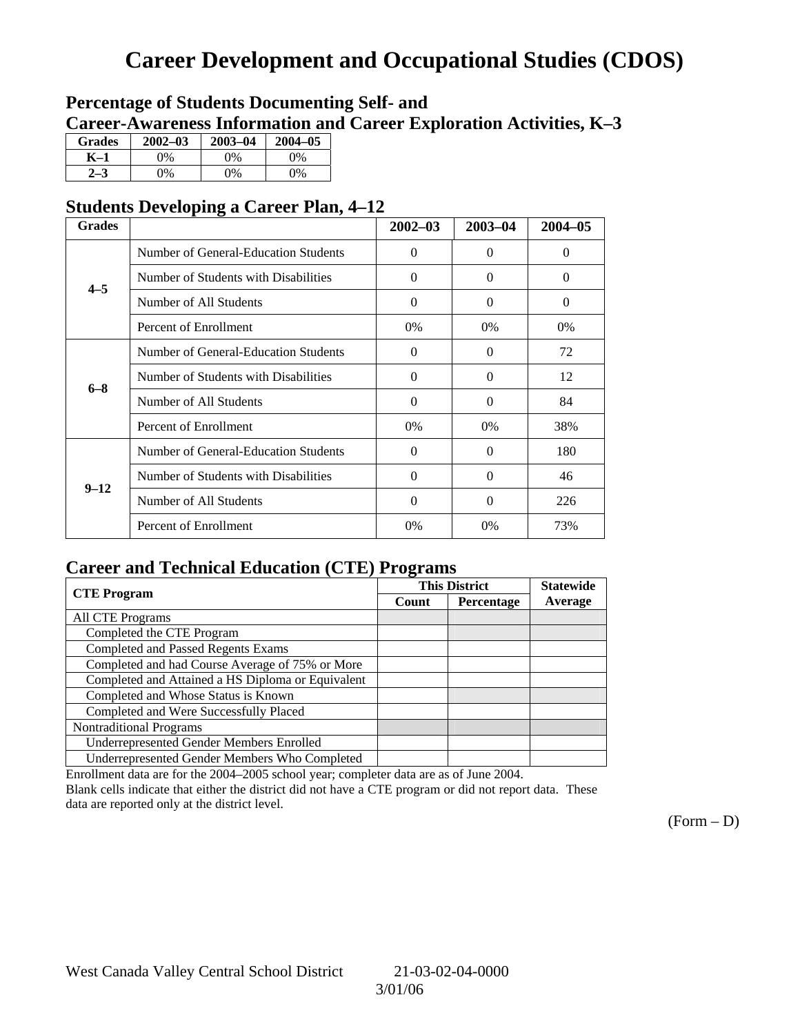# **Career Development and Occupational Studies (CDOS)**

## **Percentage of Students Documenting Self- and Career-Awareness Information and Career Exploration Activities, K–3**

| <b>Grades</b> | $2002 - 03$ | $2003 - 04$ | $2004 - 05$ |
|---------------|-------------|-------------|-------------|
| K–1           | 0%          | 0%          | $0\%$       |
| $2 - 3$       | 9%          | 0%          | 0%          |

## **Students Developing a Career Plan, 4–12**

| <b>Grades</b> |                                      | $2002 - 03$ | $2003 - 04$ | $2004 - 05$ |
|---------------|--------------------------------------|-------------|-------------|-------------|
|               | Number of General-Education Students | $\theta$    | $\theta$    | $\Omega$    |
| $4 - 5$       | Number of Students with Disabilities | $\theta$    | $\Omega$    | $\Omega$    |
|               | Number of All Students               | $\theta$    | $\Omega$    | $\Omega$    |
|               | Percent of Enrollment                | 0%          | $0\%$       | 0%          |
|               | Number of General-Education Students | $\theta$    | $\Omega$    | 72          |
| $6 - 8$       | Number of Students with Disabilities | $\theta$    | 0           | 12          |
|               | Number of All Students               | $\theta$    | $\Omega$    | 84          |
|               | Percent of Enrollment                | $0\%$       | $0\%$       | 38%         |
|               | Number of General-Education Students | $\theta$    | 0           | 180         |
| $9 - 12$      | Number of Students with Disabilities | $\theta$    | $\Omega$    | 46          |
|               | Number of All Students               | $\theta$    | 0           | 226         |
|               | Percent of Enrollment                | $0\%$       | 0%          | 73%         |

## **Career and Technical Education (CTE) Programs**

|                                                   | . .                 | <b>This District</b> | <b>Statewide</b> |
|---------------------------------------------------|---------------------|----------------------|------------------|
| <b>CTE Program</b>                                | Percentage<br>Count |                      | Average          |
| All CTE Programs                                  |                     |                      |                  |
| Completed the CTE Program                         |                     |                      |                  |
| <b>Completed and Passed Regents Exams</b>         |                     |                      |                  |
| Completed and had Course Average of 75% or More   |                     |                      |                  |
| Completed and Attained a HS Diploma or Equivalent |                     |                      |                  |
| Completed and Whose Status is Known               |                     |                      |                  |
| Completed and Were Successfully Placed            |                     |                      |                  |
| <b>Nontraditional Programs</b>                    |                     |                      |                  |
| <b>Underrepresented Gender Members Enrolled</b>   |                     |                      |                  |
| Underrepresented Gender Members Who Completed     |                     |                      |                  |

Enrollment data are for the 2004–2005 school year; completer data are as of June 2004.

Blank cells indicate that either the district did not have a CTE program or did not report data. These data are reported only at the district level.

 $(Form - D)$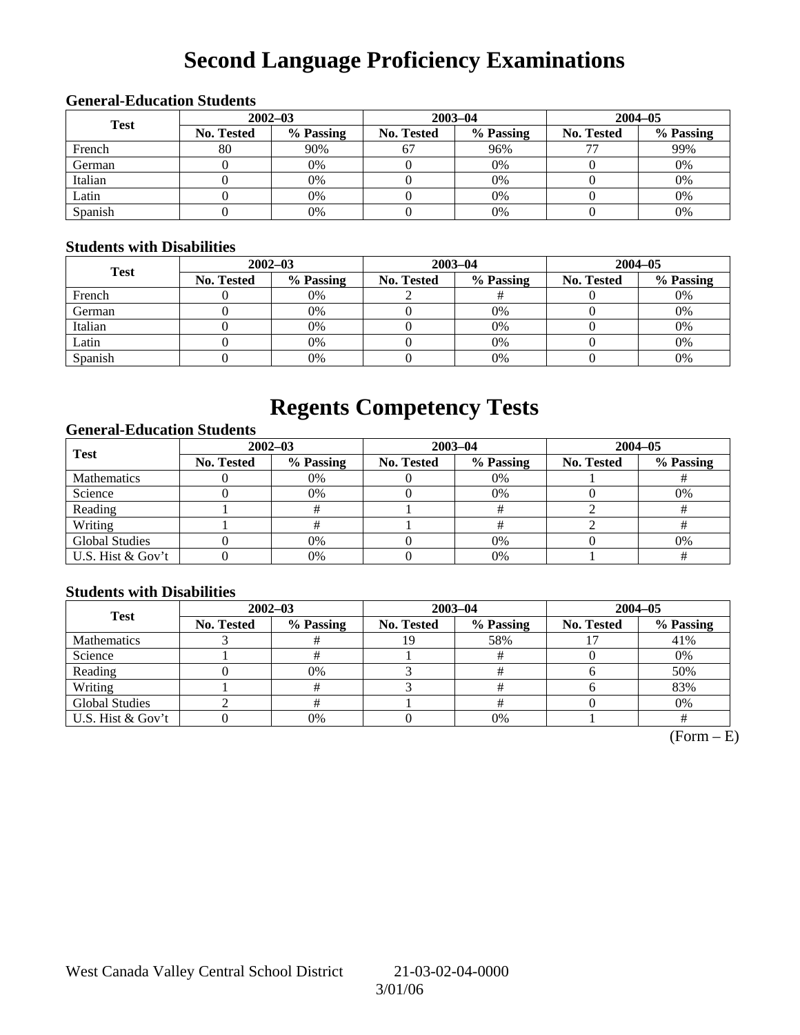# **Second Language Proficiency Examinations**

## **General-Education Students**

| <b>Test</b> | $2002 - 03$       |           |                   | $2003 - 04$ | $2004 - 05$       |           |  |
|-------------|-------------------|-----------|-------------------|-------------|-------------------|-----------|--|
|             | <b>No. Tested</b> | % Passing | <b>No. Tested</b> | % Passing   | <b>No. Tested</b> | % Passing |  |
| French      | 80                | 90%       | 67                | 96%         |                   | 99%       |  |
| German      |                   | 0%        |                   | $0\%$       |                   | 0%        |  |
| Italian     |                   | 0%        |                   | 0%          |                   | 0%        |  |
| Latin       |                   | 0%        |                   | 0%          |                   | 0%        |  |
| Spanish     |                   | 0%        |                   | 0%          |                   | 0%        |  |

### **Students with Disabilities**

| <b>Test</b> | $2002 - 03$ |           |            | $2003 - 04$ | $2004 - 05$       |           |  |
|-------------|-------------|-----------|------------|-------------|-------------------|-----------|--|
|             | No. Tested  | % Passing | No. Tested | % Passing   | <b>No. Tested</b> | % Passing |  |
| French      |             | 0%        |            |             |                   | 0%        |  |
| German      |             | 0%        |            | 0%          |                   | 0%        |  |
| Italian     |             | 0%        |            | 0%          |                   | 0%        |  |
| Latin       |             | 0%        |            | 0%          |                   | 0%        |  |
| Spanish     |             | 0%        |            | 0%          |                   | 0%        |  |

## **Regents Competency Tests**

## **General-Education Students**

| <b>Test</b>           | $2002 - 03$       |           |            | $2003 - 04$ | $2004 - 05$       |           |  |
|-----------------------|-------------------|-----------|------------|-------------|-------------------|-----------|--|
|                       | <b>No. Tested</b> | % Passing | No. Tested | % Passing   | <b>No. Tested</b> | % Passing |  |
| <b>Mathematics</b>    |                   | 0%        |            | $0\%$       |                   |           |  |
| Science               |                   | 0%        |            | 0%          |                   | 0%        |  |
| Reading               |                   |           |            |             |                   |           |  |
| Writing               |                   |           |            |             |                   |           |  |
| <b>Global Studies</b> |                   | 0%        |            | $0\%$       |                   | 0%        |  |
| U.S. Hist & Gov't     |                   | 0%        |            | 0%          |                   |           |  |

## **Students with Disabilities**

| <b>Test</b>           | $2002 - 03$       |           | $2003 - 04$ |           | $2004 - 05$       |           |  |
|-----------------------|-------------------|-----------|-------------|-----------|-------------------|-----------|--|
|                       | <b>No. Tested</b> | % Passing | No. Tested  | % Passing | <b>No. Tested</b> | % Passing |  |
| <b>Mathematics</b>    |                   |           | 19          | 58%       |                   | 41%       |  |
| Science               |                   |           |             |           |                   | 0%        |  |
| Reading               |                   | 0%        |             |           |                   | 50%       |  |
| Writing               |                   |           |             |           |                   | 83%       |  |
| <b>Global Studies</b> |                   |           |             |           |                   | 0%        |  |
| U.S. Hist & Gov't     |                   | 0%        |             | 0%        |                   |           |  |

 $(Form - E)$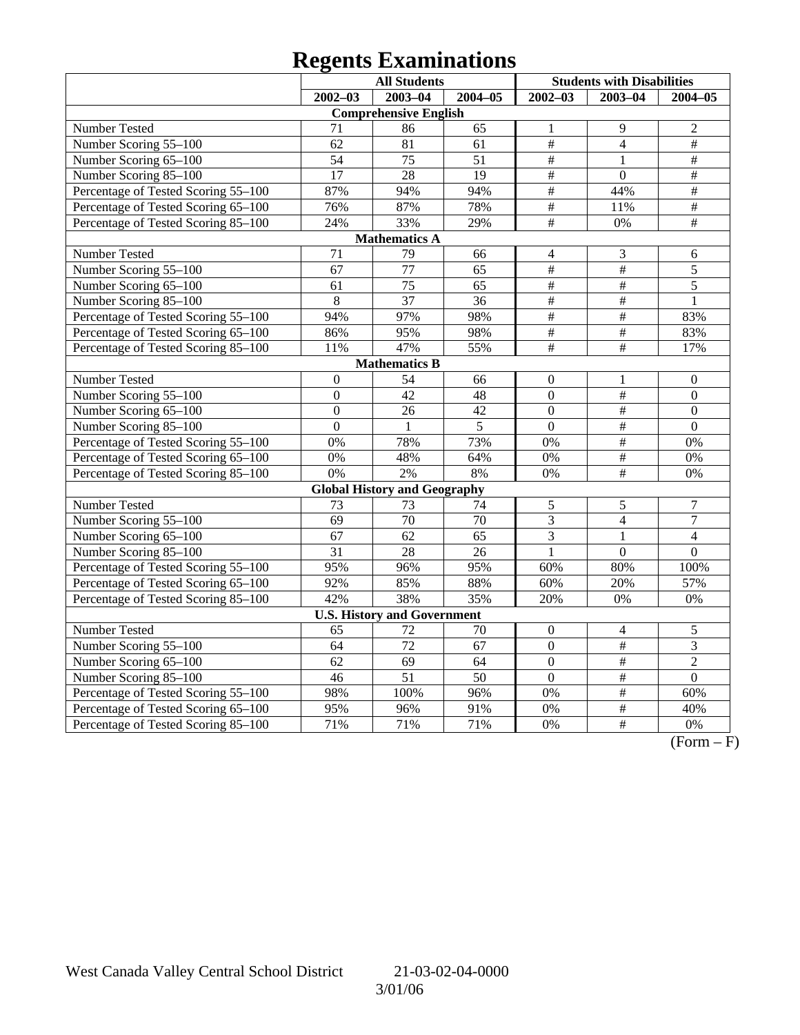# **Regents Examinations**

|                                     | <b>All Students</b> |                                     |                 | <b>Students with Disabilities</b> |                  |                  |  |  |  |
|-------------------------------------|---------------------|-------------------------------------|-----------------|-----------------------------------|------------------|------------------|--|--|--|
|                                     | $2002 - 03$         | $2003 - 04$                         | $2004 - 05$     | $2002 - 03$                       | $2003 - 04$      | $2004 - 05$      |  |  |  |
| <b>Comprehensive English</b>        |                     |                                     |                 |                                   |                  |                  |  |  |  |
| Number Tested                       | 71                  | 86                                  | 65              | 1                                 | 9                | $\overline{2}$   |  |  |  |
| Number Scoring 55-100               | 62                  | 81                                  | 61              | #                                 | $\overline{4}$   | $\#$             |  |  |  |
| Number Scoring 65-100               | $\overline{54}$     | 75                                  | 51              | $\overline{\ddot{\pi}}$           | $\mathbf{1}$     | #                |  |  |  |
| Number Scoring 85-100               | $\overline{17}$     | 28                                  | $\overline{19}$ | $\overline{\ddot{\pi}}$           | $\overline{0}$   | #                |  |  |  |
| Percentage of Tested Scoring 55-100 | 87%                 | 94%                                 | 94%             | $\#$                              | 44%              | $\overline{\#}$  |  |  |  |
| Percentage of Tested Scoring 65-100 | 76%                 | 87%                                 | 78%             | $\#$                              | 11%              | $\#$             |  |  |  |
| Percentage of Tested Scoring 85-100 | 24%                 | 33%                                 | 29%             | $\overline{\#}$                   | 0%               | $\overline{\#}$  |  |  |  |
|                                     |                     | <b>Mathematics A</b>                |                 |                                   |                  |                  |  |  |  |
| Number Tested                       | $\overline{71}$     | 79                                  | 66              | 4                                 | 3                | 6                |  |  |  |
| Number Scoring 55-100               | $\overline{67}$     | 77                                  | 65              | $\overline{\#}$                   | $\overline{\#}$  | $\overline{5}$   |  |  |  |
| Number Scoring 65-100               | 61                  | 75                                  | 65              | $\overline{\#}$                   | $\frac{1}{2}$    | $\overline{5}$   |  |  |  |
| Number Scoring 85-100               | 8                   | $\overline{37}$                     | $\overline{36}$ | $\overline{\#}$                   | $\overline{\#}$  | $\mathbf{1}$     |  |  |  |
| Percentage of Tested Scoring 55-100 | 94%                 | 97%                                 | 98%             | $\overline{\ddot{\pi}}$           | $\overline{\#}$  | 83%              |  |  |  |
| Percentage of Tested Scoring 65-100 | 86%                 | 95%                                 | 98%             | $\#$                              | $\overline{\#}$  | 83%              |  |  |  |
| Percentage of Tested Scoring 85-100 | 11%                 | 47%                                 | 55%             | $\#$                              | $\#$             | 17%              |  |  |  |
|                                     |                     | <b>Mathematics B</b>                |                 |                                   |                  |                  |  |  |  |
| Number Tested                       | $\theta$            | 54                                  | 66              | $\boldsymbol{0}$                  | $\mathbf{1}$     | $\boldsymbol{0}$ |  |  |  |
| Number Scoring 55-100               | $\overline{0}$      | 42                                  | 48              | $\overline{0}$                    | $\overline{\#}$  | $\mathbf{0}$     |  |  |  |
| Number Scoring 65-100               | $\Omega$            | 26                                  | 42              | $\mathbf{0}$                      | $\overline{\#}$  | $\Omega$         |  |  |  |
| Number Scoring 85-100               | $\overline{0}$      | $\mathbf{1}$                        | $\overline{5}$  | $\overline{0}$                    | $\#$             | $\overline{0}$   |  |  |  |
| Percentage of Tested Scoring 55-100 | 0%                  | 78%                                 | 73%             | 0%                                | $\overline{\#}$  | 0%               |  |  |  |
| Percentage of Tested Scoring 65-100 | 0%                  | 48%                                 | 64%             | 0%                                | $\frac{1}{2}$    | 0%               |  |  |  |
| Percentage of Tested Scoring 85-100 | 0%                  | 2%                                  | 8%              | 0%                                | $\overline{\#}$  | 0%               |  |  |  |
|                                     |                     | <b>Global History and Geography</b> |                 |                                   |                  |                  |  |  |  |
| Number Tested                       | 73                  | 73                                  | 74              | 5                                 | 5                | $\overline{7}$   |  |  |  |
| Number Scoring 55-100               | $\overline{69}$     | $\overline{70}$                     | $\overline{70}$ | $\overline{3}$                    | $\overline{4}$   | $\overline{7}$   |  |  |  |
| Number Scoring 65-100               | 67                  | 62                                  | 65              | 3                                 | $\mathbf{1}$     | $\overline{4}$   |  |  |  |
| Number Scoring 85-100               | 31                  | 28                                  | 26              | $\mathbf{1}$                      | $\boldsymbol{0}$ | $\boldsymbol{0}$ |  |  |  |
| Percentage of Tested Scoring 55-100 | 95%                 | 96%                                 | 95%             | 60%                               | 80%              | 100%             |  |  |  |
| Percentage of Tested Scoring 65-100 | 92%                 | 85%                                 | 88%             | 60%                               | 20%              | 57%              |  |  |  |
| Percentage of Tested Scoring 85-100 | 42%                 | 38%                                 | 35%             | 20%                               | $0\%$            | 0%               |  |  |  |
|                                     |                     | <b>U.S. History and Government</b>  |                 |                                   |                  |                  |  |  |  |
| <b>Number Tested</b>                | 65                  | 72                                  | 70              | $\boldsymbol{0}$                  | $\overline{4}$   | 5                |  |  |  |
| Number Scoring 55-100               | 64                  | $\overline{72}$                     | $\overline{67}$ | $\overline{0}$                    | $\frac{1}{2}$    | $\overline{3}$   |  |  |  |
| Number Scoring 65-100               | 62                  | 69                                  | 64              | $\overline{0}$                    | $\#$             | $\overline{2}$   |  |  |  |
| Number Scoring 85-100               | 46                  | $\overline{51}$                     | $\overline{50}$ | $\overline{0}$                    | $\overline{\#}$  | $\overline{0}$   |  |  |  |
| Percentage of Tested Scoring 55-100 | 98%                 | 100%                                | 96%             | 0%                                | $\overline{\#}$  | 60%              |  |  |  |
| Percentage of Tested Scoring 65-100 | 95%                 | 96%                                 | 91%             | 0%                                | $\overline{\#}$  | 40%              |  |  |  |
| Percentage of Tested Scoring 85-100 | 71%                 | 71%                                 | 71%             | 0%                                | $\#$             | 0%               |  |  |  |

 $\overline{(Form - F)}$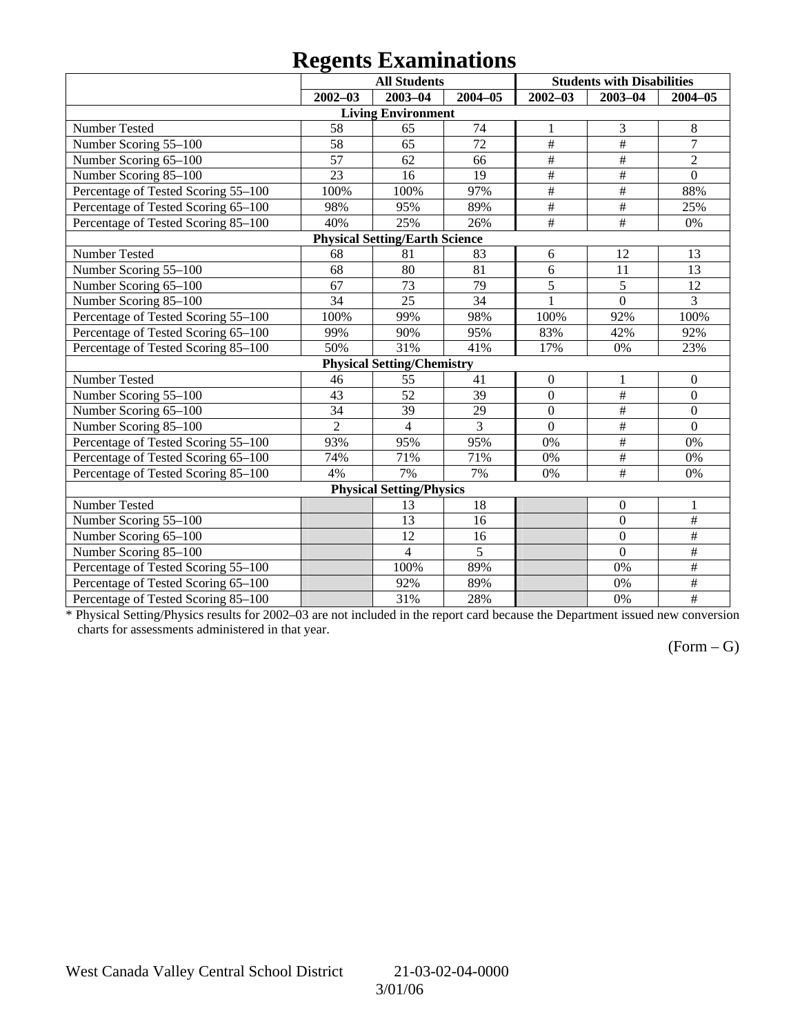## **Regents Examinations**

|                                     |                | <b>All Students</b>                   |             |                 | <b>Students with Disabilities</b> |                  |
|-------------------------------------|----------------|---------------------------------------|-------------|-----------------|-----------------------------------|------------------|
|                                     | $2002 - 03$    | 2003-04                               | $2004 - 05$ | $2002 - 03$     | $2003 - 04$                       | $2004 - 05$      |
|                                     |                | <b>Living Environment</b>             |             |                 |                                   |                  |
| Number Tested                       | 58             | 65                                    | 74          | 1               | 3                                 | $8\phantom{1}$   |
| Number Scoring 55-100               | 58             | 65                                    | 72          | $\overline{\#}$ | $\overline{\#}$                   | $\overline{7}$   |
| Number Scoring 65-100               | 57             | 62                                    | 66          | $\frac{1}{2}$   | $\overline{\#}$                   | $\overline{2}$   |
| Number Scoring 85-100               | 23             | 16                                    | 19          | $\#$            | $\overline{\#}$                   | $\overline{0}$   |
| Percentage of Tested Scoring 55-100 | 100%           | 100%                                  | 97%         | $\#$            | $\overline{\ddot{}}$              | 88%              |
| Percentage of Tested Scoring 65-100 | 98%            | 95%                                   | 89%         | $\#$            | $\overline{\#}$                   | 25%              |
| Percentage of Tested Scoring 85-100 | 40%            | 25%                                   | 26%         | $\overline{\#}$ | #                                 | 0%               |
|                                     |                | <b>Physical Setting/Earth Science</b> |             |                 |                                   |                  |
| Number Tested                       | 68             | 81                                    | 83          | 6               | 12                                | 13               |
| Number Scoring 55-100               | 68             | 80                                    | 81          | 6               | 11                                | 13               |
| Number Scoring 65-100               | 67             | 73                                    | 79          | 5               | 5                                 | 12               |
| Number Scoring 85-100               | 34             | 25                                    | 34          | $\mathbf{1}$    | $\overline{0}$                    | 3                |
| Percentage of Tested Scoring 55-100 | 100%           | 99%                                   | 98%         | 100%            | 92%                               | 100%             |
| Percentage of Tested Scoring 65-100 | 99%            | 90%                                   | 95%         | 83%             | 42%                               | 92%              |
| Percentage of Tested Scoring 85-100 | 50%            | 31%                                   | 41%         | 17%             | 0%                                | 23%              |
|                                     |                | <b>Physical Setting/Chemistry</b>     |             |                 |                                   |                  |
| Number Tested                       | 46             | 55                                    | 41          | $\mathbf{0}$    | 1                                 | $\boldsymbol{0}$ |
| Number Scoring 55-100               | 43             | $\overline{52}$                       | 39          | $\overline{0}$  | $\overline{\ddot{}}$              | $\overline{0}$   |
| Number Scoring 65-100               | 34             | 39                                    | 29          | $\overline{0}$  | $\overline{\#}$                   | $\mathbf{0}$     |
| Number Scoring 85-100               | $\overline{2}$ | $\overline{4}$                        | 3           | $\overline{0}$  | #                                 | $\mathbf{0}$     |
| Percentage of Tested Scoring 55-100 | 93%            | 95%                                   | 95%         | 0%              | $\#$                              | 0%               |
| Percentage of Tested Scoring 65-100 | 74%            | 71%                                   | 71%         | 0%              | $\#$                              | 0%               |
| Percentage of Tested Scoring 85-100 | 4%             | 7%                                    | 7%          | 0%              | $\#$                              | 0%               |
|                                     |                | <b>Physical Setting/Physics</b>       |             |                 |                                   |                  |
| Number Tested                       |                | 13                                    | 18          |                 | $\boldsymbol{0}$                  | $\mathbf{1}$     |
| Number Scoring 55-100               |                | 13                                    | 16          |                 | $\overline{0}$                    | $\overline{\#}$  |
| Number Scoring 65-100               |                | 12                                    | 16          |                 | $\overline{0}$                    | #                |
| Number Scoring 85-100               |                | $\overline{\mathcal{L}}$              | 5           |                 | $\overline{0}$                    | $\#$             |
| Percentage of Tested Scoring 55-100 |                | 100%                                  | 89%         |                 | 0%                                | $\overline{\#}$  |
| Percentage of Tested Scoring 65-100 |                | 92%                                   | 89%         |                 | 0%                                | #                |
| Percentage of Tested Scoring 85-100 |                | 31%                                   | 28%         |                 | 0%                                | $\frac{1}{2}$    |

\* Physical Setting/Physics results for 2002–03 are not included in the report card because the Department issued new conversion charts for assessments administered in that year.

## $(Form - G)$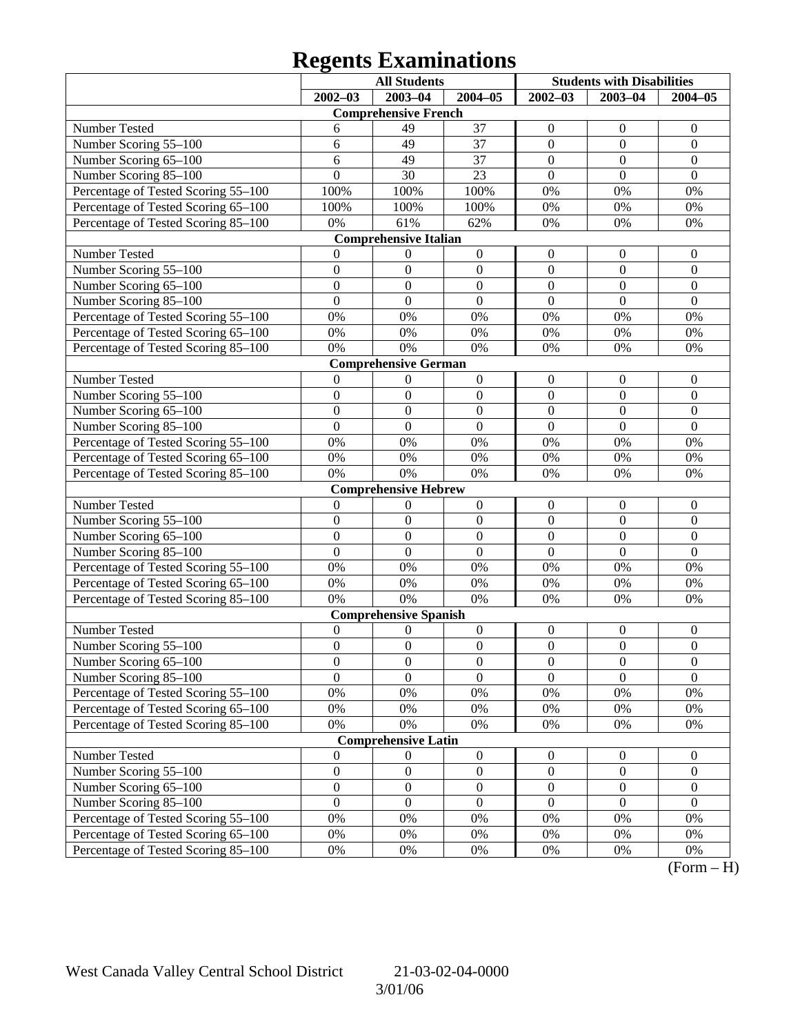# **Regents Examinations**

|                                     | <b>All Students</b> |                              |                  | <b>Students with Disabilities</b> |                  |                  |
|-------------------------------------|---------------------|------------------------------|------------------|-----------------------------------|------------------|------------------|
|                                     | $2002 - 03$         | 2003-04                      | $2004 - 05$      | $2002 - 03$                       | $2003 - 04$      | $2004 - 05$      |
|                                     |                     | <b>Comprehensive French</b>  |                  |                                   |                  |                  |
| Number Tested                       | 6                   | 49                           | 37               | $\boldsymbol{0}$                  | $\boldsymbol{0}$ | $\mathbf{0}$     |
| Number Scoring 55-100               | 6                   | 49                           | 37               | $\boldsymbol{0}$                  | $\mathbf{0}$     | $\boldsymbol{0}$ |
| Number Scoring 65-100               | 6                   | 49                           | 37               | $\boldsymbol{0}$                  | $\mathbf{0}$     | $\mathbf{0}$     |
| Number Scoring 85-100               | $\overline{0}$      | 30                           | 23               | $\boldsymbol{0}$                  | $\mathbf{0}$     | $\mathbf{0}$     |
| Percentage of Tested Scoring 55-100 | 100%                | 100%                         | 100%             | $0\%$                             | 0%               | 0%               |
| Percentage of Tested Scoring 65-100 | 100%                | 100%                         | 100%             | $0\%$                             | 0%               | 0%               |
| Percentage of Tested Scoring 85-100 | 0%                  | 61%                          | 62%              | 0%                                | 0%               | 0%               |
|                                     |                     | <b>Comprehensive Italian</b> |                  |                                   |                  |                  |
| Number Tested                       | 0                   | $\boldsymbol{0}$             | $\boldsymbol{0}$ | $\boldsymbol{0}$                  | $\boldsymbol{0}$ | $\mathbf{0}$     |
| Number Scoring 55-100               | $\boldsymbol{0}$    | $\boldsymbol{0}$             | $\boldsymbol{0}$ | $\boldsymbol{0}$                  | $\boldsymbol{0}$ | $\boldsymbol{0}$ |
| Number Scoring 65-100               | $\boldsymbol{0}$    | $\boldsymbol{0}$             | $\boldsymbol{0}$ | $\boldsymbol{0}$                  | $\overline{0}$   | $\mathbf{0}$     |
| Number Scoring 85-100               | $\overline{0}$      | $\mathbf{0}$                 | $\mathbf{0}$     | $\mathbf{0}$                      | $\mathbf{0}$     | $\mathbf{0}$     |
| Percentage of Tested Scoring 55-100 | 0%                  | 0%                           | 0%               | 0%                                | 0%               | 0%               |
| Percentage of Tested Scoring 65-100 | 0%                  | 0%                           | $0\%$            | 0%                                | 0%               | 0%               |
| Percentage of Tested Scoring 85-100 | 0%                  | 0%                           | 0%               | 0%                                | 0%               | 0%               |
|                                     |                     | <b>Comprehensive German</b>  |                  |                                   |                  |                  |
| Number Tested                       | $\mathbf{0}$        | $\boldsymbol{0}$             | $\boldsymbol{0}$ | $\boldsymbol{0}$                  | $\boldsymbol{0}$ | $\mathbf{0}$     |
| Number Scoring 55-100               | $\boldsymbol{0}$    | $\boldsymbol{0}$             | $\boldsymbol{0}$ | $\boldsymbol{0}$                  | $\boldsymbol{0}$ | $\boldsymbol{0}$ |
| Number Scoring 65-100               | $\boldsymbol{0}$    | $\boldsymbol{0}$             | $\boldsymbol{0}$ | $\boldsymbol{0}$                  | $\overline{0}$   | $\mathbf{0}$     |
| Number Scoring 85-100               | $\overline{0}$      | $\mathbf{0}$                 | $\mathbf{0}$     | $\mathbf{0}$                      | $\overline{0}$   | $\overline{0}$   |
| Percentage of Tested Scoring 55-100 | 0%                  | 0%                           | 0%               | 0%                                | 0%               | 0%               |
| Percentage of Tested Scoring 65-100 | 0%                  | 0%                           | $0\%$            | 0%                                | 0%               | 0%               |
| Percentage of Tested Scoring 85-100 | 0%                  | 0%                           | 0%               | 0%                                | 0%               | 0%               |
|                                     |                     | <b>Comprehensive Hebrew</b>  |                  |                                   |                  |                  |
| Number Tested                       | $\boldsymbol{0}$    | $\boldsymbol{0}$             | $\boldsymbol{0}$ | $\boldsymbol{0}$                  | $\boldsymbol{0}$ | $\mathbf{0}$     |
| Number Scoring 55-100               | $\boldsymbol{0}$    | $\boldsymbol{0}$             | $\boldsymbol{0}$ | $\boldsymbol{0}$                  | $\boldsymbol{0}$ | $\boldsymbol{0}$ |
| Number Scoring 65-100               | $\boldsymbol{0}$    | $\boldsymbol{0}$             | $\boldsymbol{0}$ | $\boldsymbol{0}$                  | $\overline{0}$   | $\boldsymbol{0}$ |
| Number Scoring 85-100               | $\overline{0}$      | $\boldsymbol{0}$             | $\mathbf{0}$     | $\overline{0}$                    | $\overline{0}$   | $\overline{0}$   |
| Percentage of Tested Scoring 55-100 | 0%                  | 0%                           | 0%               | 0%                                | 0%               | 0%               |
| Percentage of Tested Scoring 65-100 | 0%                  | 0%                           | $0\%$            | 0%                                | 0%               | 0%               |
| Percentage of Tested Scoring 85-100 | 0%                  | 0%                           | $0\%$            | 0%                                | 0%               | 0%               |
|                                     |                     | <b>Comprehensive Spanish</b> |                  |                                   |                  |                  |
| Number Tested                       | $\boldsymbol{0}$    | $\boldsymbol{0}$             | $\boldsymbol{0}$ | $\boldsymbol{0}$                  | $\boldsymbol{0}$ | $\mathbf{0}$     |
| Number Scoring 55-100               | $\boldsymbol{0}$    | $\boldsymbol{0}$             | $\boldsymbol{0}$ | $\boldsymbol{0}$                  | $\mathbf{0}$     | $\boldsymbol{0}$ |
| Number Scoring 65-100               | $\boldsymbol{0}$    | $\boldsymbol{0}$             | $\boldsymbol{0}$ | $\boldsymbol{0}$                  | $\boldsymbol{0}$ | $\boldsymbol{0}$ |
| Number Scoring 85-100               | $\overline{0}$      | $\overline{0}$               | $\overline{0}$   | $\overline{0}$                    | $\overline{0}$   | $\overline{0}$   |
| Percentage of Tested Scoring 55-100 | 0%                  | 0%                           | $0\%$            | 0%                                | 0%               | 0%               |
| Percentage of Tested Scoring 65-100 | 0%                  | 0%                           | $0\%$            | 0%                                | 0%               | 0%               |
| Percentage of Tested Scoring 85-100 | $0\%$               | 0%                           | $0\%$            | 0%                                | 0%               | 0%               |
|                                     |                     | <b>Comprehensive Latin</b>   |                  |                                   |                  |                  |
| Number Tested                       | $\boldsymbol{0}$    | $\boldsymbol{0}$             | $\boldsymbol{0}$ | $\boldsymbol{0}$                  | $\boldsymbol{0}$ | $\mathbf{0}$     |
| Number Scoring 55-100               | $\boldsymbol{0}$    | $\boldsymbol{0}$             | $\boldsymbol{0}$ | $\boldsymbol{0}$                  | $\boldsymbol{0}$ | $\boldsymbol{0}$ |
| Number Scoring 65-100               | $\boldsymbol{0}$    | $\boldsymbol{0}$             | $\boldsymbol{0}$ | $\boldsymbol{0}$                  | $\boldsymbol{0}$ | $\boldsymbol{0}$ |
| Number Scoring 85-100               | $\boldsymbol{0}$    | $\boldsymbol{0}$             | $\boldsymbol{0}$ | $\boldsymbol{0}$                  | $\mathbf{0}$     | $\boldsymbol{0}$ |
| Percentage of Tested Scoring 55-100 | 0%                  | 0%                           | $0\%$            | 0%                                | 0%               | 0%               |
| Percentage of Tested Scoring 65-100 | 0%                  | 0%                           | 0%               | 0%                                | 0%               | 0%               |
| Percentage of Tested Scoring 85-100 | $0\%$               | 0%                           | 0%               | 0%                                | 0%               | 0%               |

 $(Form - H)$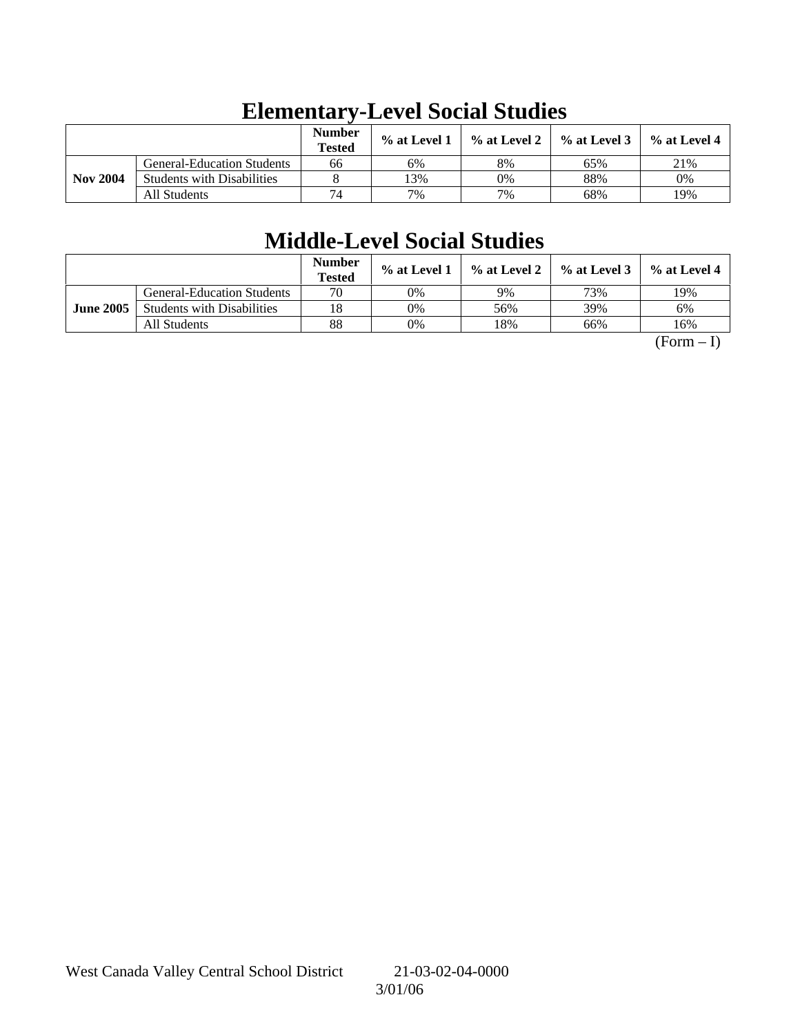|                 |                                   | <b>Number</b><br><b>Tested</b> | % at Level 1 | % at Level 2 | $\%$ at Level 3 | $%$ at Level 4 |
|-----------------|-----------------------------------|--------------------------------|--------------|--------------|-----------------|----------------|
|                 | <b>General-Education Students</b> | 66                             | 6%           | 8%           | 65%             | 21%            |
| <b>Nov 2004</b> | <b>Students with Disabilities</b> |                                | 3%           | 0%           | 88%             | 0%             |
|                 | All Students                      | 74                             | 7%           | 7%           | 68%             | 19%            |

# **Elementary-Level Social Studies**

# **Middle-Level Social Studies**

|                  |                                   | <b>Number</b><br><b>Tested</b> | $\%$ at Level 1 | % at Level 2 | $%$ at Level 3 | $%$ at Level 4 |
|------------------|-----------------------------------|--------------------------------|-----------------|--------------|----------------|----------------|
|                  | <b>General-Education Students</b> | 70                             | 0%              | 9%           | 73%            | 19%            |
| <b>June 2005</b> | <b>Students with Disabilities</b> | 18                             | 0%              | 56%          | 39%            | 6%             |
|                  | All Students                      | 88                             | 0%              | 18%          | 66%            | 16%            |

 $(Form - I)$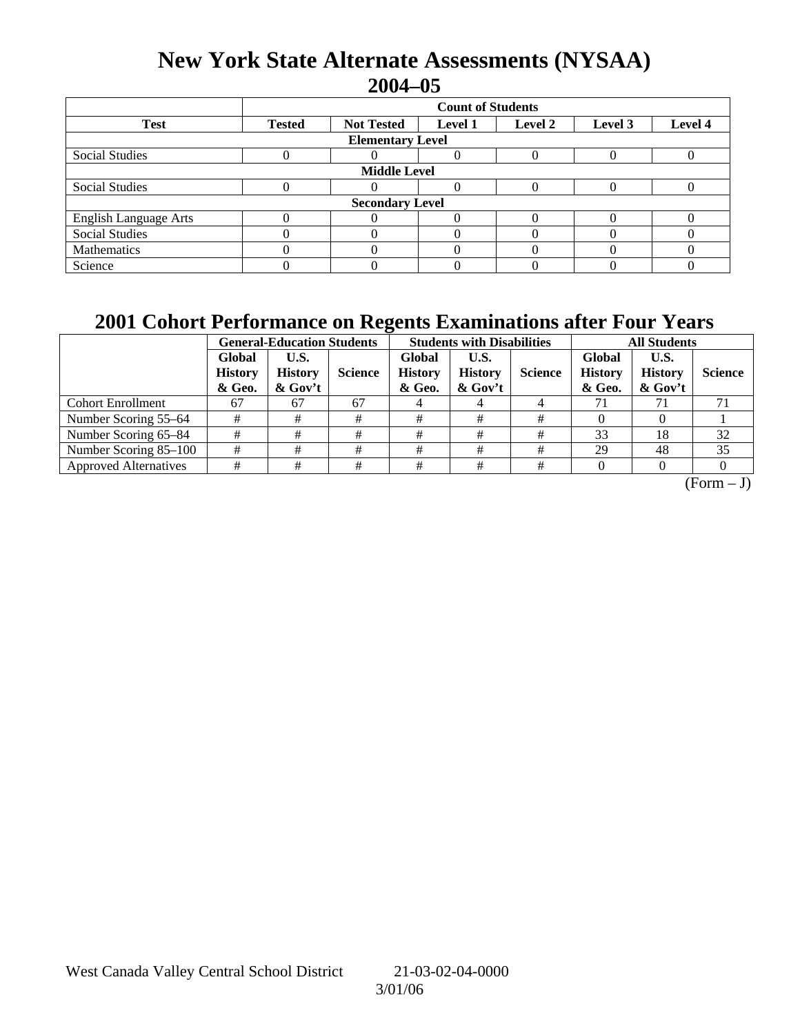## **New York State Alternate Assessments (NYSAA) 2004–05**

|                              | <b>Count of Students</b>                                                              |  |  |  |  |  |  |  |  |
|------------------------------|---------------------------------------------------------------------------------------|--|--|--|--|--|--|--|--|
| <b>Test</b>                  | Level 4<br><b>Tested</b><br><b>Not Tested</b><br>Level 2<br><b>Level 1</b><br>Level 3 |  |  |  |  |  |  |  |  |
| <b>Elementary Level</b>      |                                                                                       |  |  |  |  |  |  |  |  |
| <b>Social Studies</b>        |                                                                                       |  |  |  |  |  |  |  |  |
| <b>Middle Level</b>          |                                                                                       |  |  |  |  |  |  |  |  |
| <b>Social Studies</b>        |                                                                                       |  |  |  |  |  |  |  |  |
| <b>Secondary Level</b>       |                                                                                       |  |  |  |  |  |  |  |  |
| <b>English Language Arts</b> |                                                                                       |  |  |  |  |  |  |  |  |
| <b>Social Studies</b>        |                                                                                       |  |  |  |  |  |  |  |  |
| Mathematics                  |                                                                                       |  |  |  |  |  |  |  |  |
| Science                      |                                                                                       |  |  |  |  |  |  |  |  |

## **2001 Cohort Performance on Regents Examinations after Four Years**

|                              | <b>General-Education Students</b>  |                                   |                |                                    | <b>Students with Disabilities</b>    |                | <b>All Students</b>                |                                      |                |
|------------------------------|------------------------------------|-----------------------------------|----------------|------------------------------------|--------------------------------------|----------------|------------------------------------|--------------------------------------|----------------|
|                              | Global<br><b>History</b><br>& Geo. | U.S.<br><b>History</b><br>& Gov't | <b>Science</b> | Global<br><b>History</b><br>& Geo. | U.S.<br><b>History</b><br>$\&$ Gov't | <b>Science</b> | Global<br><b>History</b><br>& Geo. | U.S.<br><b>History</b><br>$\&$ Gov't | <b>Science</b> |
| <b>Cohort Enrollment</b>     | 67                                 | 67                                | 67             |                                    |                                      |                | 71                                 |                                      |                |
| Number Scoring 55–64         |                                    |                                   | #              |                                    | #                                    | #              |                                    |                                      |                |
| Number Scoring 65-84         |                                    | #                                 | #              | #                                  | #                                    | #              | 33                                 | 18                                   | 32             |
| Number Scoring 85-100        | #                                  |                                   | #              | #                                  |                                      | #              | 29                                 | 48                                   | 35             |
| <b>Approved Alternatives</b> |                                    | #                                 | #              | #                                  | #                                    | #              |                                    |                                      |                |

 $\overline{(Form - J)}$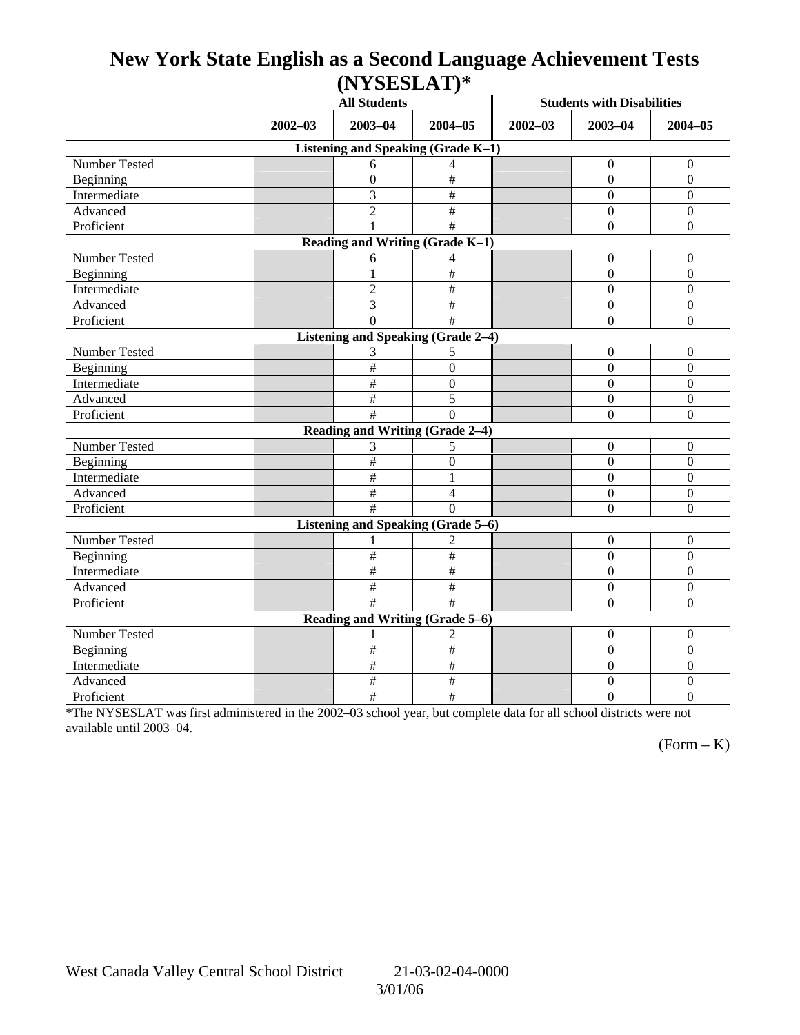## **New York State English as a Second Language Achievement Tests (NYSESLAT)\***

|                                           |             | <b>All Students</b>             |                           | <b>Students with Disabilities</b> |                  |                  |  |  |  |
|-------------------------------------------|-------------|---------------------------------|---------------------------|-----------------------------------|------------------|------------------|--|--|--|
|                                           | $2002 - 03$ | $2003 - 04$<br>$2004 - 05$      |                           | $2002 - 03$                       | $2003 - 04$      | $2004 - 05$      |  |  |  |
| Listening and Speaking (Grade K-1)        |             |                                 |                           |                                   |                  |                  |  |  |  |
| Number Tested                             |             | 6                               | 4                         |                                   | $\boldsymbol{0}$ | $\mathbf{0}$     |  |  |  |
| Beginning                                 |             | $\overline{0}$                  | $\#$                      |                                   | $\mathbf{0}$     | $\overline{0}$   |  |  |  |
| Intermediate                              |             | 3                               | $\#$                      |                                   | $\Omega$         | $\overline{0}$   |  |  |  |
| Advanced                                  |             | $\overline{2}$                  | $\#$                      |                                   | $\mathbf{0}$     | $\boldsymbol{0}$ |  |  |  |
| Proficient                                |             | $\mathbf{1}$                    | #                         |                                   | $\boldsymbol{0}$ | $\boldsymbol{0}$ |  |  |  |
| Reading and Writing (Grade K-1)           |             |                                 |                           |                                   |                  |                  |  |  |  |
| Number Tested                             |             | 6                               | 4                         |                                   | $\mathbf{0}$     | $\mathbf{0}$     |  |  |  |
| Beginning                                 |             | 1                               | $\#$                      |                                   | $\mathbf{0}$     | $\mathbf{0}$     |  |  |  |
| Intermediate                              |             | $\overline{2}$                  | $\frac{1}{2}$             |                                   | $\Omega$         | $\overline{0}$   |  |  |  |
| Advanced                                  |             | 3                               | $\overline{\#}$           |                                   | $\overline{0}$   | $\overline{0}$   |  |  |  |
| Proficient                                |             | $\Omega$                        | #                         |                                   | $\boldsymbol{0}$ | $\mathbf{0}$     |  |  |  |
| <b>Listening and Speaking (Grade 2-4)</b> |             |                                 |                           |                                   |                  |                  |  |  |  |
| Number Tested                             |             | 3                               | 5                         |                                   | $\mathbf{0}$     | $\mathbf{0}$     |  |  |  |
| Beginning                                 |             | $\#$                            | $\overline{0}$            |                                   | $\mathbf{0}$     | $\mathbf{0}$     |  |  |  |
| Intermediate                              |             | $\#$                            | $\mathbf{0}$              |                                   | $\mathbf{0}$     | $\boldsymbol{0}$ |  |  |  |
| Advanced                                  |             | $\#$                            | 5                         |                                   | $\mathbf{0}$     | $\boldsymbol{0}$ |  |  |  |
| Proficient                                |             | #                               | $\Omega$                  |                                   | $\Omega$         | $\mathbf{0}$     |  |  |  |
|                                           |             | Reading and Writing (Grade 2-4) |                           |                                   |                  |                  |  |  |  |
| Number Tested                             |             | 3                               | 5                         |                                   | $\mathbf{0}$     | $\mathbf{0}$     |  |  |  |
| Beginning                                 |             | $\#$                            | $\mathbf{0}$              |                                   | $\boldsymbol{0}$ | $\mathbf{0}$     |  |  |  |
| Intermediate                              |             | #                               | 1                         |                                   | $\overline{0}$   | $\overline{0}$   |  |  |  |
| Advanced                                  |             | $\#$                            | $\overline{4}$            |                                   | $\mathbf{0}$     | $\boldsymbol{0}$ |  |  |  |
| Proficient                                |             | #                               | $\Omega$                  |                                   | $\Omega$         | $\overline{0}$   |  |  |  |
| <b>Listening and Speaking (Grade 5-6)</b> |             |                                 |                           |                                   |                  |                  |  |  |  |
| Number Tested                             |             |                                 | 2                         |                                   | $\boldsymbol{0}$ | $\mathbf{0}$     |  |  |  |
| Beginning                                 |             | $\#$                            | $\#$                      |                                   | $\Omega$         | $\mathbf{0}$     |  |  |  |
| Intermediate                              |             | $\#$                            | $\#$                      |                                   | $\mathbf{0}$     | $\boldsymbol{0}$ |  |  |  |
| Advanced                                  |             | $\#$                            | $\#$                      |                                   | $\boldsymbol{0}$ | $\boldsymbol{0}$ |  |  |  |
| Proficient                                |             | $\overline{\#}$                 | $\overline{\ddot{x}}$     |                                   | $\Omega$         | $\overline{0}$   |  |  |  |
| Reading and Writing (Grade 5-6)           |             |                                 |                           |                                   |                  |                  |  |  |  |
| Number Tested                             |             |                                 | 2                         |                                   | $\boldsymbol{0}$ | $\mathbf{0}$     |  |  |  |
| Beginning                                 |             | $\#$                            | $\overline{\overline{t}}$ |                                   | $\boldsymbol{0}$ | $\overline{0}$   |  |  |  |
| Intermediate                              |             | $\#$                            | $\#$                      |                                   | $\boldsymbol{0}$ | $\boldsymbol{0}$ |  |  |  |
| Advanced                                  |             | #                               | $\overline{\overline{t}}$ |                                   | $\boldsymbol{0}$ | $\overline{0}$   |  |  |  |
| Proficient                                |             | $\#$                            | $\#$                      |                                   | $\mathbf{0}$     | $\overline{0}$   |  |  |  |

\*The NYSESLAT was first administered in the 2002–03 school year, but complete data for all school districts were not available until 2003–04.

 $(Form - K)$